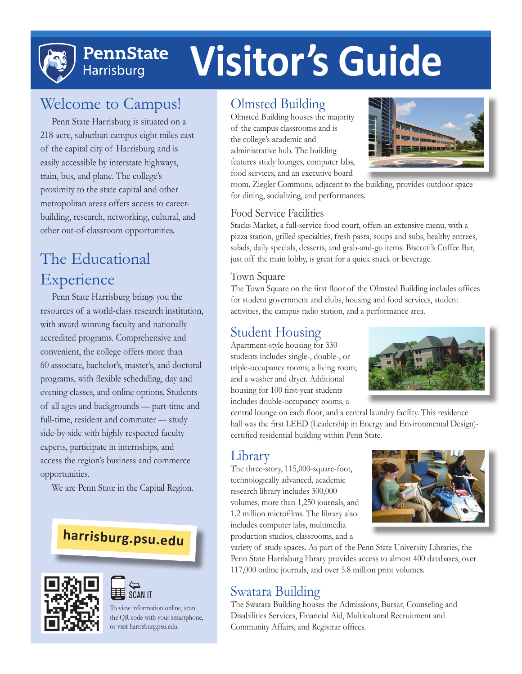

# **PennState Harrisburg**

# **Visitor's Guide**

# Welcome to Campus!

Penn State Harrisburg is situated on a 218-acre, suburban campus eight miles east of the capital city of Harrisburg and is easily accessible by interstate highways, train, bus, and plane. The college's proximity to the state capital and other metropolitan areas offers access to careerbuilding, research, networking, cultural, and other out-of-classroom opportunities.

# The Educational Experience

Penn State Harrisburg brings you the resources of a world-class research institution, with award-winning faculty and nationally accredited programs. Comprehensive and convenient, the college offers more than 60 associate, bachelor's, master's, and doctoral programs, with flexible scheduling, day and evening classes, and online options. Students of all ages and backgrounds — part-time and full-time, resident and commuter — study side-by-side with highly respected faculty experts, participate in internships, and access the region's business and commerce opportunities.

We are Penn State in the Capital Region.

# **harrisburg.psu.edu**



#### SCAN IT  $\sum_{n=1}^{\infty}$

To view information online, scan the QR code with your smartphone, or visit harrisburg.psu.edu.

#### Olmsted Building

Olmsted Building houses the majority of the campus classrooms and is the college's academic and administrative hub. The building features study lounges, computer labs, food services, and an executive board



room. Ziegler Commons, adjacent to the building, provides outdoor space for dining, socializing, and performances.

#### Food Service Facilities

Stacks Market, a full-service food court, offers an extensive menu, with a pizza station, grilled specialties, fresh pasta, soups and subs, healthy entrees, salads, daily specials, desserts, and grab-and-go items. Biscotti's Coffee Bar, just off the main lobby, is great for a quick snack or beverage.

#### Town Square

The Town Square on the first floor of the Olmsted Building includes offices for student government and clubs, housing and food services, student activities, the campus radio station, and a performance area.

#### Student Housing

Apartment-style housing for 330 students includes single-, double-, or triple-occupancy rooms; a living room; and a washer and dryer. Additional housing for 100 first-year students includes double-occupancy rooms, a



central lounge on each floor, and a central laundry facility. This residence hall was the first LEED (Leadership in Energy and Environmental Design) certified residential building within Penn State.

### Library

The three-story, 115,000-square-foot, technologically advanced, academic research library includes 300,000 volumes, more than 1,250 journals, and 1.2 million microfilms. The library also includes computer labs, multimedia production studios, classrooms, and a



variety of study spaces. As part of the Penn State University Libraries, the Penn State Harrisburg library provides access to almost 400 databases, over 117,000 online journals, and over 5.8 million print volumes.

## Swatara Building

The Swatara Building houses the Admissions, Bursar, Counseling and Disabilities Services, Financial Aid, Multicultural Recruitment and Community Affairs, and Registrar offices.